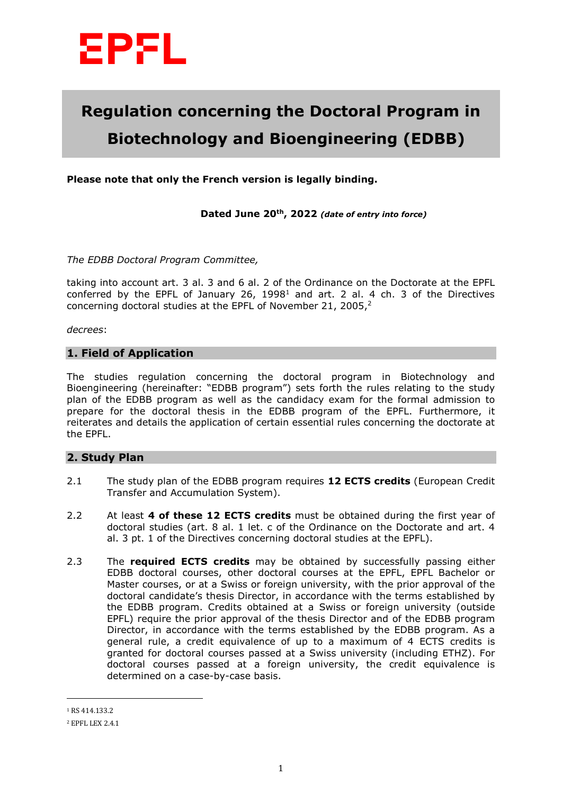

# **Regulation concerning the Doctoral Program in Biotechnology and Bioengineering (EDBB)**

**Please note that only the French version is legally binding.** 

**Dated June 20th, 2022** *(date of entry into force)*

*The EDBB Doctoral Program Committee,* 

taking into account art. 3 al. 3 and 6 al. 2 of the Ordinance on the Doctorate at the EPFL conferred by the EPFL of January 26,  $1998<sup>1</sup>$  and art. 2 al. 4 ch. 3 of the Directives concerning doctoral studies at the EPFL of November 21, 2005,<sup>2</sup>

*decrees*:

#### **1. Field of Application**

The studies regulation concerning the doctoral program in Biotechnology and Bioengineering (hereinafter: "EDBB program") sets forth the rules relating to the study plan of the EDBB program as well as the candidacy exam for the formal admission to prepare for the doctoral thesis in the EDBB program of the EPFL. Furthermore, it reiterates and details the application of certain essential rules concerning the doctorate at the EPFL.

## **2. Study Plan**

- 2.1 The study plan of the EDBB program requires **12 ECTS credits** (European Credit Transfer and Accumulation System).
- 2.2 At least **4 of these 12 ECTS credits** must be obtained during the first year of doctoral studies (art. 8 al. 1 let. c of the Ordinance on the Doctorate and art. 4 al. 3 pt. 1 of the Directives concerning doctoral studies at the EPFL).
- 2.3 The **required ECTS credits** may be obtained by successfully passing either EDBB doctoral courses, other doctoral courses at the EPFL, EPFL Bachelor or Master courses, or at a Swiss or foreign university, with the prior approval of the doctoral candidate's thesis Director, in accordance with the terms established by the EDBB program. Credits obtained at a Swiss or foreign university (outside EPFL) require the prior approval of the thesis Director and of the EDBB program Director, in accordance with the terms established by the EDBB program. As a general rule, a credit equivalence of up to a maximum of 4 ECTS credits is granted for doctoral courses passed at a Swiss university (including ETHZ). For doctoral courses passed at a foreign university, the credit equivalence is determined on a case-by-case basis.

 $\overline{a}$ 

<sup>1</sup> RS 414.133.2

<sup>2</sup> EPFL LEX 2.4.1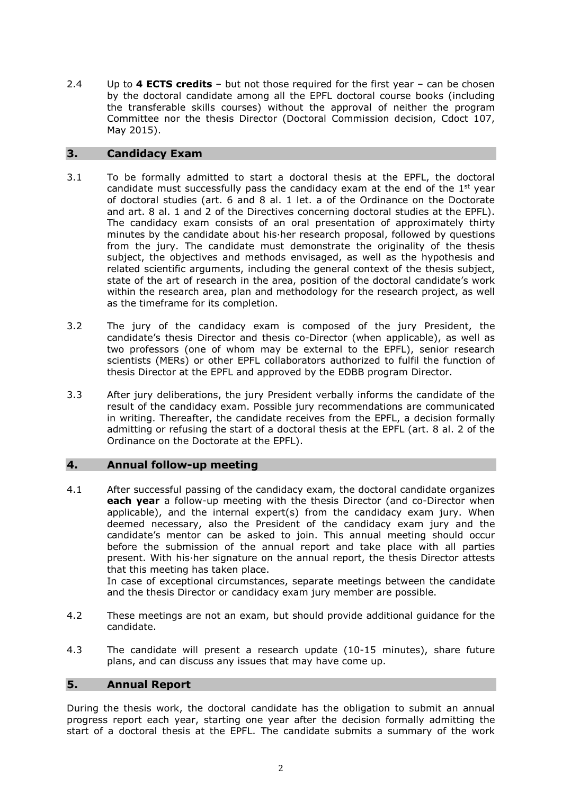2.4 Up to **4 ECTS credits** – but not those required for the first year – can be chosen by the doctoral candidate among all the EPFL doctoral course books (including the transferable skills courses) without the approval of neither the program Committee nor the thesis Director (Doctoral Commission decision, Cdoct 107, May 2015).

## **3. Candidacy Exam**

- 3.1 To be formally admitted to start a doctoral thesis at the EPFL, the doctoral candidate must successfully pass the candidacy exam at the end of the  $1<sup>st</sup>$  year of doctoral studies (art. 6 and 8 al. 1 let. a of the Ordinance on the Doctorate and art. 8 al. 1 and 2 of the Directives concerning doctoral studies at the EPFL). The candidacy exam consists of an oral presentation of approximately thirty minutes by the candidate about his·her research proposal, followed by questions from the jury. The candidate must demonstrate the originality of the thesis subject, the objectives and methods envisaged, as well as the hypothesis and related scientific arguments, including the general context of the thesis subject, state of the art of research in the area, position of the doctoral candidate's work within the research area, plan and methodology for the research project, as well as the timeframe for its completion.
- 3.2 The jury of the candidacy exam is composed of the jury President, the candidate's thesis Director and thesis co-Director (when applicable), as well as two professors (one of whom may be external to the EPFL), senior research scientists (MERs) or other EPFL collaborators authorized to fulfil the function of thesis Director at the EPFL and approved by the EDBB program Director.
- 3.3 After jury deliberations, the jury President verbally informs the candidate of the result of the candidacy exam. Possible jury recommendations are communicated in writing. Thereafter, the candidate receives from the EPFL, a decision formally admitting or refusing the start of a doctoral thesis at the EPFL (art. 8 al. 2 of the Ordinance on the Doctorate at the EPFL).

## **4. Annual follow-up meeting**

4.1 After successful passing of the candidacy exam, the doctoral candidate organizes **each year** a follow-up meeting with the thesis Director (and co-Director when applicable), and the internal expert(s) from the candidacy exam jury. When deemed necessary, also the President of the candidacy exam jury and the candidate's mentor can be asked to join. This annual meeting should occur before the submission of the annual report and take place with all parties present. With his·her signature on the annual report, the thesis Director attests that this meeting has taken place.

In case of exceptional circumstances, separate meetings between the candidate and the thesis Director or candidacy exam jury member are possible.

- 4.2 These meetings are not an exam, but should provide additional guidance for the candidate.
- 4.3 The candidate will present a research update (10-15 minutes), share future plans, and can discuss any issues that may have come up.

## **5. Annual Report**

During the thesis work, the doctoral candidate has the obligation to submit an annual progress report each year, starting one year after the decision formally admitting the start of a doctoral thesis at the EPFL. The candidate submits a summary of the work